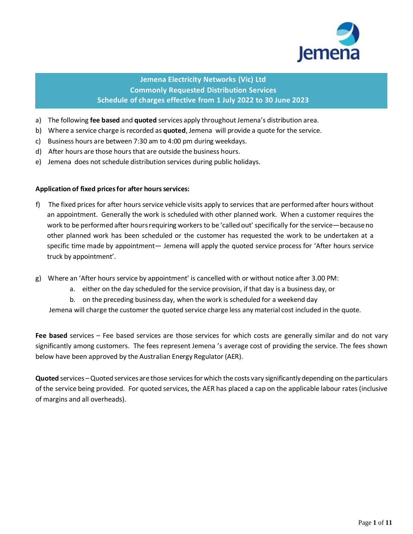

# **Jemena Electricity Networks (Vic) Ltd Commonly Requested Distribution Services Schedule of charges effective from 1 July 2022 to 30 June 2023**

- a) The following **fee based** and **quoted** services apply throughout Jemena's distribution area.
- b) Where a service charge is recorded as **quoted**, Jemena will provide a quote for the service.
- c) Business hours are between 7:30 am to 4:00 pm during weekdays.
- d) After hours are those hours that are outside the business hours.
- e) Jemena does not schedule distribution services during public holidays.

### **Application of fixed pricesfor after hoursservices:**

- f) The fixed prices for after hours service vehicle visits apply to services that are performed after hours without an appointment. Generally the work is scheduled with other planned work. When a customer requires the work to be performed after hours requiring workers to be 'called out' specifically for the service—because no other planned work has been scheduled or the customer has requested the work to be undertaken at a specific time made by appointment— Jemena will apply the quoted service process for 'After hours service truck by appointment'.
- g) Where an 'After hours service by appointment' is cancelled with or without notice after 3.00 PM:
	- a. either on the day scheduled for the service provision, if that day is a business day, or
	- b. on the preceding business day, when the work is scheduled for a weekend day

Jemena will charge the customer the quoted service charge less any material cost included in the quote.

**Fee based** services – Fee based services are those services for which costs are generally similar and do not vary significantly among customers. The fees represent Jemena 's average cost of providing the service. The fees shown below have been approved by the Australian Energy Regulator (AER).

**Quoted** services – Quoted services are those services for which the costs vary significantly depending on the particulars of the service being provided. For quoted services, the AER has placed a cap on the applicable labour rates(inclusive of margins and all overheads).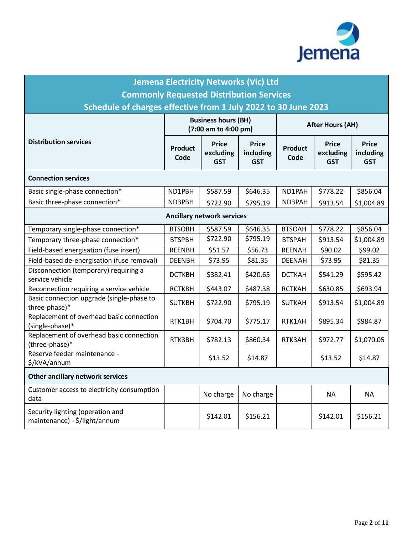

| <b>Jemena Electricity Networks (Vic) Ltd</b>                      |                                                    |                                         |                                         |                         |                                         |                                         |  |
|-------------------------------------------------------------------|----------------------------------------------------|-----------------------------------------|-----------------------------------------|-------------------------|-----------------------------------------|-----------------------------------------|--|
| <b>Commonly Requested Distribution Services</b>                   |                                                    |                                         |                                         |                         |                                         |                                         |  |
| Schedule of charges effective from 1 July 2022 to 30 June 2023    |                                                    |                                         |                                         |                         |                                         |                                         |  |
|                                                                   | <b>Business hours (BH)</b><br>(7:00 am to 4:00 pm) |                                         |                                         | <b>After Hours (AH)</b> |                                         |                                         |  |
| <b>Distribution services</b>                                      | <b>Product</b><br>Code                             | <b>Price</b><br>excluding<br><b>GST</b> | <b>Price</b><br>including<br><b>GST</b> | <b>Product</b><br>Code  | <b>Price</b><br>excluding<br><b>GST</b> | <b>Price</b><br>including<br><b>GST</b> |  |
| <b>Connection services</b>                                        |                                                    |                                         |                                         |                         |                                         |                                         |  |
| Basic single-phase connection*                                    | ND1PBH                                             | \$587.59                                | \$646.35                                | ND1PAH                  | \$778.22                                | \$856.04                                |  |
| Basic three-phase connection*                                     | ND3PBH                                             | \$722.90                                | \$795.19                                | ND3PAH                  | \$913.54                                | \$1,004.89                              |  |
| <b>Ancillary network services</b>                                 |                                                    |                                         |                                         |                         |                                         |                                         |  |
| Temporary single-phase connection*                                | <b>BTSOBH</b>                                      | \$587.59                                | \$646.35                                | <b>BTSOAH</b>           | \$778.22                                | \$856.04                                |  |
| Temporary three-phase connection*                                 | <b>BTSPBH</b>                                      | \$722.90                                | \$795.19                                | <b>BTSPAH</b>           | \$913.54                                | \$1,004.89                              |  |
| Field-based energisation (fuse insert)                            | <b>REENBH</b>                                      | \$51.57                                 | \$56.73                                 | <b>REENAH</b>           | \$90.02                                 | \$99.02                                 |  |
| Field-based de-energisation (fuse removal)                        | <b>DEENBH</b>                                      | \$73.95                                 | \$81.35                                 | <b>DEENAH</b>           | \$73.95                                 | \$81.35                                 |  |
| Disconnection (temporary) requiring a<br>service vehicle          | <b>DCTKBH</b>                                      | \$382.41                                | \$420.65                                | <b>DCTKAH</b>           | \$541.29                                | \$595.42                                |  |
| Reconnection requiring a service vehicle                          | <b>RCTKBH</b>                                      | \$443.07                                | \$487.38                                | <b>RCTKAH</b>           | \$630.85                                | \$693.94                                |  |
| Basic connection upgrade (single-phase to<br>three-phase)*        | <b>SUTKBH</b>                                      | \$722.90                                | \$795.19                                | <b>SUTKAH</b>           | \$913.54                                | \$1,004.89                              |  |
| Replacement of overhead basic connection<br>(single-phase)*       | RTK1BH                                             | \$704.70                                | \$775.17                                | RTK1AH                  | \$895.34                                | \$984.87                                |  |
| Replacement of overhead basic connection<br>(three-phase)*        | RTK3BH                                             | \$782.13                                | \$860.34                                | RTK3AH                  | \$972.77                                | \$1,070.05                              |  |
| Reserve feeder maintenance -<br>\$/kVA/annum                      |                                                    | \$13.52                                 | \$14.87                                 |                         | \$13.52                                 | \$14.87                                 |  |
| Other ancillary network services                                  |                                                    |                                         |                                         |                         |                                         |                                         |  |
| Customer access to electricity consumption<br>data                |                                                    | No charge                               | No charge                               |                         | <b>NA</b>                               | <b>NA</b>                               |  |
| Security lighting (operation and<br>maintenance) - \$/light/annum |                                                    | \$142.01                                | \$156.21                                |                         | \$142.01                                | \$156.21                                |  |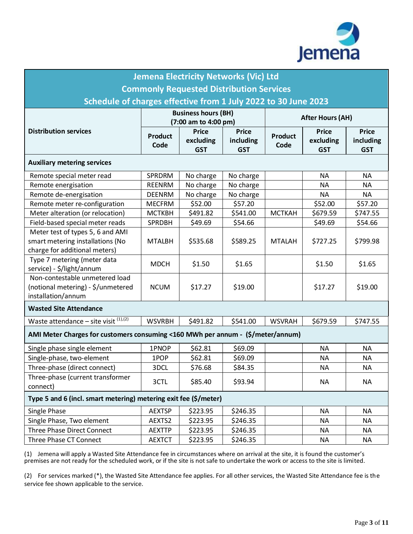

| <b>Jemena Electricity Networks (Vic) Ltd</b>                                               |                                                    |                                         |                                         |                         |                                         |                                         |  |
|--------------------------------------------------------------------------------------------|----------------------------------------------------|-----------------------------------------|-----------------------------------------|-------------------------|-----------------------------------------|-----------------------------------------|--|
| <b>Commonly Requested Distribution Services</b>                                            |                                                    |                                         |                                         |                         |                                         |                                         |  |
| Schedule of charges effective from 1 July 2022 to 30 June 2023                             |                                                    |                                         |                                         |                         |                                         |                                         |  |
|                                                                                            | <b>Business hours (BH)</b><br>(7:00 am to 4:00 pm) |                                         |                                         | <b>After Hours (AH)</b> |                                         |                                         |  |
| <b>Distribution services</b>                                                               | <b>Product</b><br>Code                             | <b>Price</b><br>excluding<br><b>GST</b> | <b>Price</b><br>including<br><b>GST</b> | <b>Product</b><br>Code  | <b>Price</b><br>excluding<br><b>GST</b> | <b>Price</b><br>including<br><b>GST</b> |  |
| <b>Auxiliary metering services</b>                                                         |                                                    |                                         |                                         |                         |                                         |                                         |  |
| Remote special meter read                                                                  | SPRDRM                                             | No charge                               | No charge                               |                         | <b>NA</b>                               | <b>NA</b>                               |  |
| Remote energisation                                                                        | REENRM                                             | No charge                               | No charge                               |                         | <b>NA</b>                               | <b>NA</b>                               |  |
| Remote de-energisation                                                                     | <b>DEENRM</b>                                      | No charge                               | No charge                               |                         | <b>NA</b>                               | <b>NA</b>                               |  |
| Remote meter re-configuration                                                              | <b>MECFRM</b>                                      | \$52.00                                 | \$57.20                                 |                         | \$52.00                                 | \$57.20                                 |  |
| Meter alteration (or relocation)                                                           | <b>MCTKBH</b>                                      | \$491.82                                | \$541.00                                | <b>MCTKAH</b>           | \$679.59                                | \$747.55                                |  |
| Field-based special meter reads                                                            | <b>SPRDBH</b>                                      | \$49.69                                 | \$54.66                                 |                         | \$49.69                                 | \$54.66                                 |  |
| Meter test of types 5, 6 and AMI                                                           |                                                    |                                         |                                         |                         |                                         |                                         |  |
| smart metering installations (No<br>charge for additional meters)                          | <b>MTALBH</b>                                      | \$535.68                                | \$589.25                                | <b>MTALAH</b>           | \$727.25                                | \$799.98                                |  |
| Type 7 metering (meter data<br>service) - \$/light/annum                                   | <b>MDCH</b>                                        | \$1.50                                  | \$1.65                                  |                         | \$1.50                                  | \$1.65                                  |  |
| Non-contestable unmetered load<br>(notional metering) - \$/unmetered<br>installation/annum | <b>NCUM</b>                                        | \$17.27                                 | \$19.00                                 |                         | \$17.27                                 | \$19.00                                 |  |
| <b>Wasted Site Attendance</b>                                                              |                                                    |                                         |                                         |                         |                                         |                                         |  |
| Waste attendance – site visit $(1),(2)$                                                    | <b>WSVRBH</b>                                      | \$491.82                                | \$541.00                                | <b>WSVRAH</b>           | \$679.59                                | \$747.55                                |  |
| AMI Meter Charges for customers consuming <160 MWh per annum - (\$/meter/annum)            |                                                    |                                         |                                         |                         |                                         |                                         |  |
| Single phase single element                                                                | 1PNOP                                              | \$62.81                                 | \$69.09                                 |                         | <b>NA</b>                               | <b>NA</b>                               |  |
| Single-phase, two-element                                                                  | 1POP                                               | \$62.81                                 | \$69.09                                 |                         | <b>NA</b>                               | <b>NA</b>                               |  |
| Three-phase (direct connect)                                                               | 3DCL                                               | \$76.68                                 | \$84.35                                 |                         | <b>NA</b>                               | <b>NA</b>                               |  |
| Three-phase (current transformer<br>connect)                                               | 3CTL                                               | \$85.40                                 | \$93.94                                 |                         | <b>NA</b>                               | <b>NA</b>                               |  |
| Type 5 and 6 (incl. smart metering) metering exit fee (\$/meter)                           |                                                    |                                         |                                         |                         |                                         |                                         |  |
| Single Phase                                                                               | <b>AEXTSP</b>                                      | \$223.95                                | \$246.35                                |                         | <b>NA</b>                               | <b>NA</b>                               |  |
| Single Phase, Two element                                                                  | AEXTS2                                             | \$223.95                                | \$246.35                                |                         | <b>NA</b>                               | <b>NA</b>                               |  |
| Three Phase Direct Connect                                                                 | <b>AEXTTP</b>                                      | \$223.95                                | \$246.35                                |                         | <b>NA</b>                               | <b>NA</b>                               |  |
| Three Phase CT Connect                                                                     | <b>AEXTCT</b>                                      | \$223.95                                | \$246.35                                |                         | <b>NA</b>                               | <b>NA</b>                               |  |

(1) Jemena will apply a Wasted Site Attendance fee in circumstances where on arrival at the site, it is found the customer's premises are not ready for the scheduled work, or if the site is not safe to undertake the work or access to the site is limited.

(2) For services marked (\*), the Wasted Site Attendance fee applies. For all other services, the Wasted Site Attendance fee is the service fee shown applicable to the service.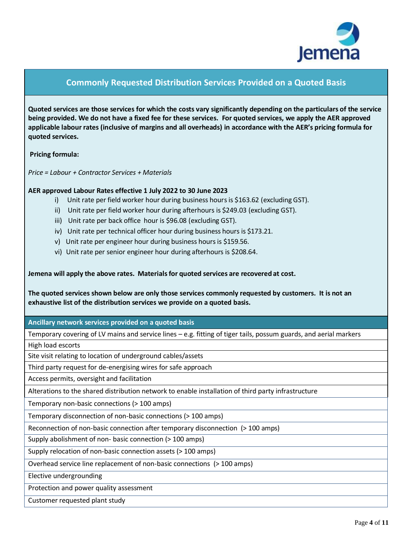

# **Commonly Requested Distribution Services Provided on a Quoted Basis**

**Quoted services are those services for which the costs vary significantly depending on the particulars of the service being provided. We do not have a fixed fee for these services. For quoted services, we apply the AER approved applicable labour rates (inclusive of margins and all overheads) in accordance with the AER's pricing formula for quoted services.**

**Pricing formula:**

*Price = Labour + Contractor Services + Materials*

### **AER approved Labour Rates effective 1 July 2022 to 30 June 2023**

- i) Unit rate per field worker hour during business hours is \$163.62 (excluding GST).
- ii) Unit rate per field worker hour during afterhours is \$249.03 (excluding GST).
- iii) Unit rate per back office hour is \$96.08 (excluding GST).
- iv) Unit rate per technical officer hour during business hours is \$173.21.
- v) Unit rate per engineer hour during business hours is \$159.56.
- vi) Unit rate per senior engineer hour during afterhours is \$208.64.

**Jemena will apply the above rates. Materialsfor quoted services are recovered at cost.**

**The quoted services shown below are only those services commonly requested by customers. It is not an exhaustive list of the distribution services we provide on a quoted basis.** 

**Ancillary network services provided on a quoted basis**

Temporary covering of LV mains and service lines – e.g. fitting of tiger tails, possum guards, and aerial markers High load escorts

Site visit relating to location of underground cables/assets

Third party request for de-energising wires for safe approach

Access permits, oversight and facilitation

Alterations to the shared distribution network to enable installation of third party infrastructure

Temporary non-basic connections (> 100 amps)

Temporary disconnection of non-basic connections (> 100 amps)

Reconnection of non-basic connection after temporary disconnection (> 100 amps)

Supply abolishment of non- basic connection (> 100 amps)

Supply relocation of non-basic connection assets (> 100 amps)

Overhead service line replacement of non-basic connections (> 100 amps)

Elective undergrounding

Protection and power quality assessment

Customer requested plant study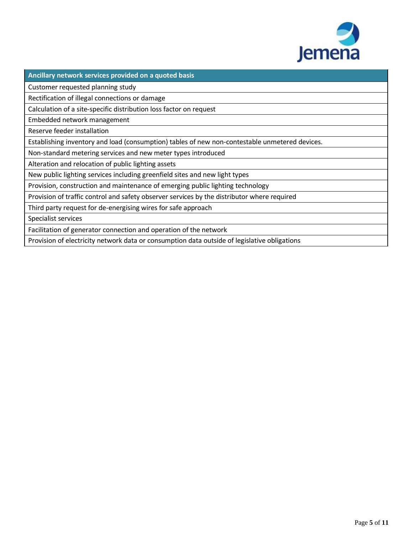

**Ancillary network services provided on a quoted basis**

Customer requested planning study

Rectification of illegal connections or damage

Calculation of a site-specific distribution loss factor on request

Embedded network management

Reserve feeder installation

Establishing inventory and load (consumption) tables of new non-contestable unmetered devices.

Non-standard metering services and new meter types introduced

Alteration and relocation of public lighting assets

New public lighting services including greenfield sites and new light types

Provision, construction and maintenance of emerging public lighting technology

Provision of traffic control and safety observer services by the distributor where required

Third party request for de-energising wires for safe approach

Specialist services

Facilitation of generator connection and operation of the network

Provision of electricity network data or consumption data outside of legislative obligations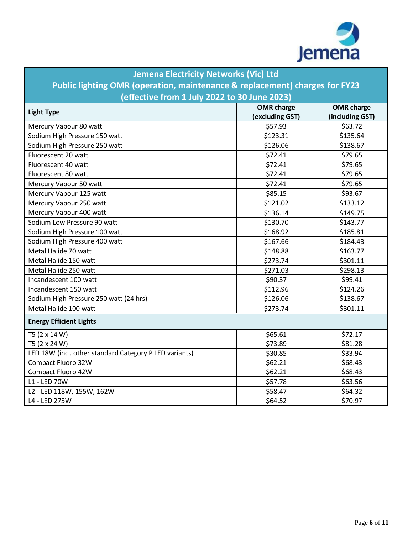

| <b>Jemena Electricity Networks (Vic) Ltd</b><br>Public lighting OMR (operation, maintenance & replacement) charges for FY23 |                                      |                                      |  |  |  |
|-----------------------------------------------------------------------------------------------------------------------------|--------------------------------------|--------------------------------------|--|--|--|
| (effective from 1 July 2022 to 30 June 2023)                                                                                |                                      |                                      |  |  |  |
| <b>Light Type</b>                                                                                                           | <b>OMR</b> charge<br>(excluding GST) | <b>OMR</b> charge<br>(including GST) |  |  |  |
| Mercury Vapour 80 watt                                                                                                      | \$57.93                              | \$63.72                              |  |  |  |
| Sodium High Pressure 150 watt                                                                                               | \$123.31                             | \$135.64                             |  |  |  |
| Sodium High Pressure 250 watt                                                                                               | \$126.06                             | \$138.67                             |  |  |  |
| Fluorescent 20 watt                                                                                                         | \$72.41                              | \$79.65                              |  |  |  |
| Fluorescent 40 watt                                                                                                         | \$72.41                              | \$79.65                              |  |  |  |
| Fluorescent 80 watt                                                                                                         | \$72.41                              | \$79.65                              |  |  |  |
| Mercury Vapour 50 watt                                                                                                      | \$72.41                              | \$79.65                              |  |  |  |
| Mercury Vapour 125 watt                                                                                                     | \$85.15                              | \$93.67                              |  |  |  |
| Mercury Vapour 250 watt                                                                                                     | \$121.02                             | \$133.12                             |  |  |  |
| Mercury Vapour 400 watt                                                                                                     | \$136.14                             | \$149.75                             |  |  |  |
| Sodium Low Pressure 90 watt                                                                                                 | \$130.70                             | \$143.77                             |  |  |  |
| Sodium High Pressure 100 watt                                                                                               | \$168.92                             | \$185.81                             |  |  |  |
| Sodium High Pressure 400 watt                                                                                               | \$167.66                             | \$184.43                             |  |  |  |
| Metal Halide 70 watt                                                                                                        | \$148.88                             | \$163.77                             |  |  |  |
| Metal Halide 150 watt                                                                                                       | \$273.74                             | \$301.11                             |  |  |  |
| Metal Halide 250 watt                                                                                                       | \$271.03                             | \$298.13                             |  |  |  |
| Incandescent 100 watt                                                                                                       | \$90.37                              | \$99.41                              |  |  |  |
| Incandescent 150 watt                                                                                                       | \$112.96                             | \$124.26                             |  |  |  |
| Sodium High Pressure 250 watt (24 hrs)                                                                                      | \$126.06                             | \$138.67                             |  |  |  |
| Metal Halide 100 watt                                                                                                       | \$273.74                             | \$301.11                             |  |  |  |
| <b>Energy Efficient Lights</b>                                                                                              |                                      |                                      |  |  |  |
| T5 (2 x 14 W)                                                                                                               | \$65.61                              | \$72.17                              |  |  |  |
| T5 (2 x 24 W)                                                                                                               | \$73.89                              | \$81.28                              |  |  |  |
| LED 18W (incl. other standard Category P LED variants)                                                                      | \$30.85                              | \$33.94                              |  |  |  |
| Compact Fluoro 32W                                                                                                          | \$62.21                              | \$68.43                              |  |  |  |
| Compact Fluoro 42W                                                                                                          | \$62.21                              | \$68.43                              |  |  |  |
| L1 - LED 70W                                                                                                                | \$57.78                              | \$63.56                              |  |  |  |
| L2 - LED 118W, 155W, 162W                                                                                                   | \$58.47                              | \$64.32                              |  |  |  |
| L4 - LED 275W                                                                                                               | \$64.52                              | \$70.97                              |  |  |  |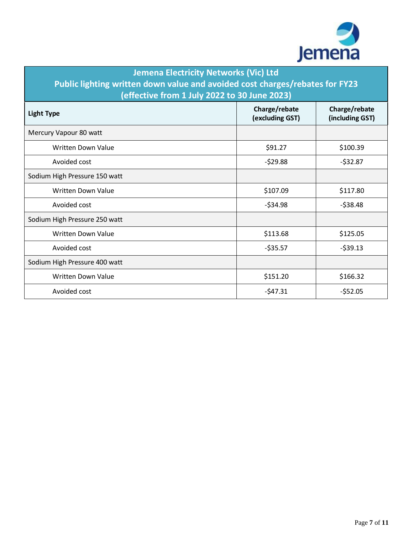

| <b>Jemena Electricity Networks (Vic) Ltd</b><br>Public lighting written down value and avoided cost charges/rebates for FY23<br>(effective from 1 July 2022 to 30 June 2023) |                                  |                                  |  |  |
|------------------------------------------------------------------------------------------------------------------------------------------------------------------------------|----------------------------------|----------------------------------|--|--|
| <b>Light Type</b>                                                                                                                                                            | Charge/rebate<br>(excluding GST) | Charge/rebate<br>(including GST) |  |  |
| Mercury Vapour 80 watt                                                                                                                                                       |                                  |                                  |  |  |
| <b>Written Down Value</b>                                                                                                                                                    | \$91.27                          | \$100.39                         |  |  |
| Avoided cost                                                                                                                                                                 | $-529.88$                        | $-532.87$                        |  |  |
| Sodium High Pressure 150 watt                                                                                                                                                |                                  |                                  |  |  |
| <b>Written Down Value</b>                                                                                                                                                    | \$107.09                         | \$117.80                         |  |  |
| Avoided cost                                                                                                                                                                 | $-534.98$                        | $-$ \$38.48                      |  |  |
| Sodium High Pressure 250 watt                                                                                                                                                |                                  |                                  |  |  |
| <b>Written Down Value</b>                                                                                                                                                    | \$113.68                         | \$125.05                         |  |  |
| Avoided cost                                                                                                                                                                 | $-535.57$                        | $-539.13$                        |  |  |
| Sodium High Pressure 400 watt                                                                                                                                                |                                  |                                  |  |  |
| <b>Written Down Value</b>                                                                                                                                                    | \$151.20                         | \$166.32                         |  |  |
| Avoided cost                                                                                                                                                                 | $-547.31$                        | $-552.05$                        |  |  |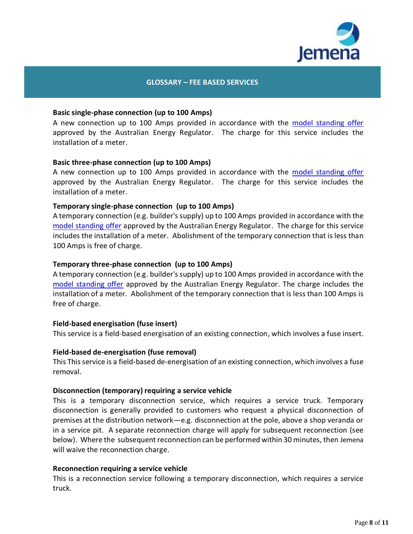

## **GLOSSARY – FEE BASED SERVICES**

### **Basic single-phase connection (up to 100 Amps)**

A new connection up to 100 Amps provided in accordance with the [model standing offer](https://jemena.com.au/about/document-centre/electricity/model-standing-offer) approved by the Australian Energy Regulator. The charge for this service includes the installation of a meter.

### **Basic three-phase connection (up to 100 Amps)**

A new connection up to 100 Amps provided in accordance with the [model standing offer](https://jemena.com.au/about/document-centre/electricity/model-standing-offer) approved by the Australian Energy Regulator. The charge for this service includes the installation of a meter.

#### **Temporary single-phase connection (up to 100 Amps)**

A temporary connection (e.g. builder's supply) up to 100 Amps provided in accordance with the [model standing offer](https://jemena.com.au/about/document-centre/electricity/model-standing-offer) approved by the Australian Energy Regulator. The charge for this service includes the installation of a meter. Abolishment of the temporary connection that is less than 100 Amps is free of charge.

#### **Temporary three-phase connection (up to 100 Amps)**

A temporary connection (e.g. builder's supply) up to 100 Amps provided in accordance with the [model standing offer](https://jemena.com.au/about/document-centre/electricity/model-standing-offer) approved by the Australian Energy Regulator. The charge includes the installation of a meter. Abolishment of the temporary connection that is less than 100 Amps is free of charge.

#### **Field-based energisation (fuse insert)**

This service is a field-based energisation of an existing connection, which involves a fuse insert.

### **Field-based de-energisation (fuse removal)**

This This service is a field-based de-energisation of an existing connection, which involves a fuse removal.

#### **Disconnection (temporary) requiring a service vehicle**

This is a temporary disconnection service, which requires a service truck. Temporary disconnection is generally provided to customers who request a physical disconnection of premises at the distribution network—e.g. disconnection at the pole, above a shop veranda or in a service pit. A separate reconnection charge will apply for subsequent reconnection (see below). Where the subsequent reconnection can be performed within 30 minutes, then Jemena will waive the reconnection charge.

#### **Reconnection requiring a service vehicle**

This is a reconnection service following a temporary disconnection, which requires a service truck.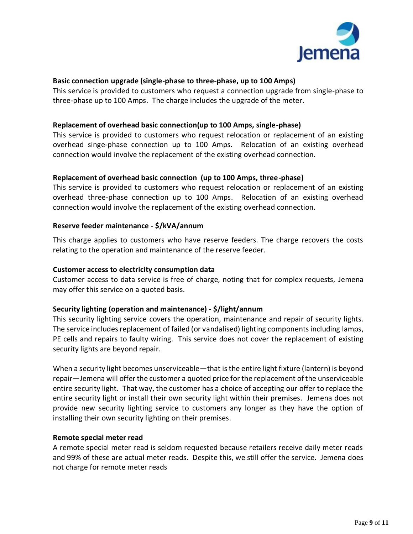

## **Basic connection upgrade (single-phase to three-phase, up to 100 Amps)**

This service is provided to customers who request a connection upgrade from single-phase to three-phase up to 100 Amps. The charge includes the upgrade of the meter.

## **Replacement of overhead basic connection(up to 100 Amps, single-phase)**

This service is provided to customers who request relocation or replacement of an existing overhead singe-phase connection up to 100 Amps. Relocation of an existing overhead connection would involve the replacement of the existing overhead connection.

## **Replacement of overhead basic connection (up to 100 Amps, three-phase)**

This service is provided to customers who request relocation or replacement of an existing overhead three-phase connection up to 100 Amps. Relocation of an existing overhead connection would involve the replacement of the existing overhead connection.

### **Reserve feeder maintenance - \$/kVA/annum**

This charge applies to customers who have reserve feeders. The charge recovers the costs relating to the operation and maintenance of the reserve feeder.

### **Customer access to electricity consumption data**

Customer access to data service is free of charge, noting that for complex requests, Jemena may offer this service on a quoted basis.

### **Security lighting (operation and maintenance) - \$/light/annum**

This security lighting service covers the operation, maintenance and repair of security lights. The service includes replacement of failed (or vandalised) lighting components including lamps, PE cells and repairs to faulty wiring. This service does not cover the replacement of existing security lights are beyond repair.

When a security light becomes unserviceable—that is the entire light fixture (lantern) is beyond repair—Jemena will offer the customer a quoted price for the replacement of the unserviceable entire security light. That way, the customer has a choice of accepting our offer to replace the entire security light or install their own security light within their premises. Jemena does not provide new security lighting service to customers any longer as they have the option of installing their own security lighting on their premises.

### **Remote special meter read**

A remote special meter read is seldom requested because retailers receive daily meter reads and 99% of these are actual meter reads. Despite this, we still offer the service. Jemena does not charge for remote meter reads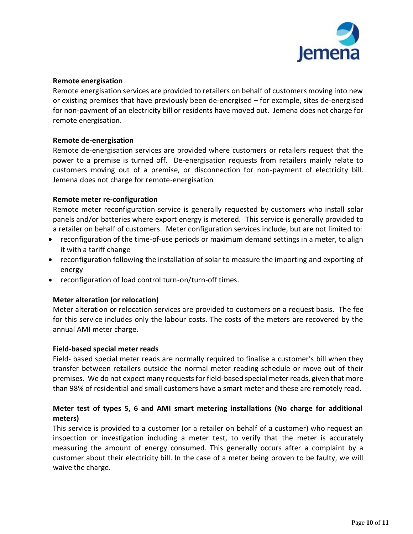

## **Remote energisation**

Remote energisation services are provided to retailers on behalf of customers moving into new or existing premises that have previously been de-energised – for example, sites de-energised for non-payment of an electricity bill or residents have moved out. Jemena does not charge for remote energisation.

## **Remote de-energisation**

Remote de-energisation services are provided where customers or retailers request that the power to a premise is turned off. De-energisation requests from retailers mainly relate to customers moving out of a premise, or disconnection for non-payment of electricity bill. Jemena does not charge for remote-energisation

## **Remote meter re-configuration**

Remote meter reconfiguration service is generally requested by customers who install solar panels and/or batteries where export energy is metered. This service is generally provided to a retailer on behalf of customers. Meter configuration services include, but are not limited to:

- reconfiguration of the time-of-use periods or maximum demand settings in a meter, to align it with a tariff change
- reconfiguration following the installation of solar to measure the importing and exporting of energy
- reconfiguration of load control turn-on/turn-off times.

## **Meter alteration (or relocation)**

Meter alteration or relocation services are provided to customers on a request basis. The fee for this service includes only the labour costs. The costs of the meters are recovered by the annual AMI meter charge.

## **Field-based special meter reads**

Field- based special meter reads are normally required to finalise a customer's bill when they transfer between retailers outside the normal meter reading schedule or move out of their premises. We do not expect many requests for field-based special meter reads, given that more than 98% of residential and small customers have a smart meter and these are remotely read.

# **Meter test of types 5, 6 and AMI smart metering installations (No charge for additional meters)**

This service is provided to a customer (or a retailer on behalf of a customer) who request an inspection or investigation including a meter test, to verify that the meter is accurately measuring the amount of energy consumed. This generally occurs after a complaint by a customer about their electricity bill. In the case of a meter being proven to be faulty, we will waive the charge.